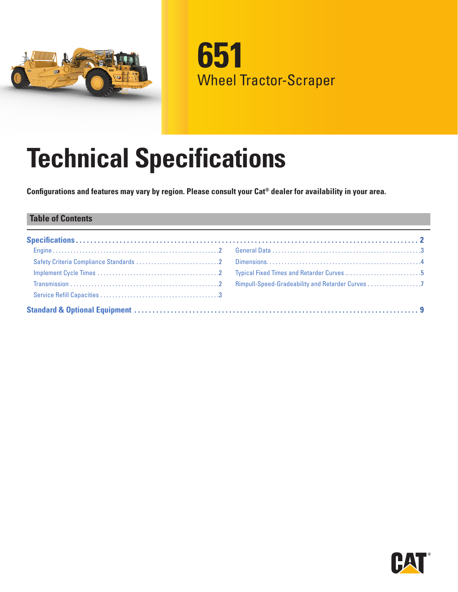

**651** Wheel Tractor-Scraper

# **Technical Specifications**

**Configurations and features may vary by region. Please consult your Cat® dealer for availability in your area.**

### **Table of Contents**

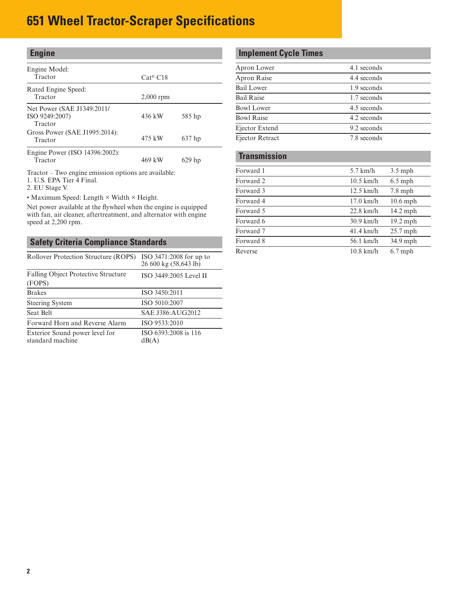<span id="page-1-0"></span>

| <b>Engine</b>                                           |                     |          |
|---------------------------------------------------------|---------------------|----------|
| Engine Model:<br>Tractor                                | $Cat^{\otimes} C18$ |          |
| Rated Engine Speed:<br>Tractor                          | $2,000$ rpm         |          |
| Net Power (SAE J1349:2011/<br>ISO 9249:2007)<br>Tractor | 436 kW              | 585 hp   |
| Gross Power (SAE J1995:2014):<br>Tractor                | 475 kW              | $637$ hp |
| Engine Power (ISO 14396:2002):<br>Tractor               | 469 kW              | $629$ hp |

Tractor – Two engine emission options are available:

1. U.S. EPA Tier 4 Final.

2. EU Stage V.

• Maximum Speed: Length × Width × Height.

Net power available at the flywheel when the engine is equipped with fan, air cleaner, aftertreatment, and alternator with engine speed at 2,200 rpm.

### **Safety Criteria Compliance Standards**

| Rollover Protection Structure (ROPS)               | ISO $3471:2008$ for up to<br>26 600 kg (58,643 lb) |
|----------------------------------------------------|----------------------------------------------------|
| Falling Object Protective Structure<br>(FOPS)      | ISO 3449:2005 Level II                             |
| <b>Brakes</b>                                      | ISO 3450:2011                                      |
| <b>Steering System</b>                             | ISO 5010:2007                                      |
| Seat Belt                                          | SAE J386: AUG2012                                  |
| Forward Horn and Reverse Alarm                     | ISO 9533:2010                                      |
| Exterior Sound power level for<br>standard machine | ISO 6393:2008 is 116<br>dB(A)                      |

# **Implement Cycle Times**

| Apron Lower       | 4.1 seconds |
|-------------------|-------------|
| Apron Raise       | 4.4 seconds |
| Bail Lower        | 1.9 seconds |
| <b>Bail Raise</b> | 1.7 seconds |
| <b>Bowl Lower</b> | 4.5 seconds |
| <b>Bowl Raise</b> | 4.2 seconds |
| Ejector Extend    | 9.2 seconds |
| Ejector Retract   | 7.8 seconds |
|                   |             |

#### **Transmission**

| Forward 1 | $5.7$ km/h          | $3.5$ mph  |
|-----------|---------------------|------------|
| Forward 2 | $10.5$ km/h         | $6.5$ mph  |
| Forward 3 | $12.5$ km/h         | $7.8$ mph  |
| Forward 4 | $17.0$ km/h         | $10.6$ mph |
| Forward 5 | $22.8$ km/h         | $14.2$ mph |
| Forward 6 | $30.9$ km/h         | $19.2$ mph |
| Forward 7 | $41.4 \text{ km/h}$ | $25.7$ mph |
| Forward 8 | 56.1 km/h           | 34.9 mph   |
| Reverse   | $10.8$ km/h         | $6.7$ mph  |
|           |                     |            |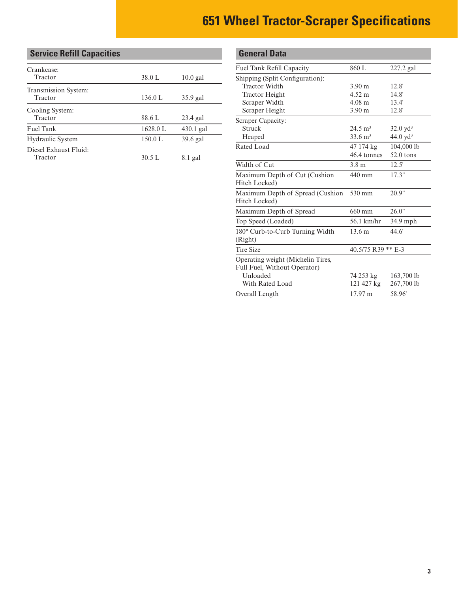# <span id="page-2-0"></span>**Service Refill Capacities**

| Crankcase:<br>Tractor            | 38.0 L   | $10.0$ gal  |
|----------------------------------|----------|-------------|
| Transmission System:<br>Tractor  | 136.0 L  | $35.9$ gal  |
| Cooling System:<br>Tractor       | 88.6 L   | $23.4$ gal  |
| Fuel Tank                        | 1628.0 L | $430.1$ gal |
| <b>Hydraulic System</b>          | 150.0 L  | $39.6$ gal  |
| Diesel Exhaust Fluid:<br>Tractor | 30.5 L   | 8.1 gal     |

| <b>General Data</b>                                               |                      |                     |
|-------------------------------------------------------------------|----------------------|---------------------|
| <b>Fuel Tank Refill Capacity</b>                                  | 860 L                | $227.2$ gal         |
| Shipping (Split Configuration):                                   |                      |                     |
| <b>Tractor Width</b>                                              | 3.90 <sub>m</sub>    | 12.8'               |
| <b>Tractor Height</b>                                             | 4.52 m               | 14.8'               |
| Scraper Width                                                     | $4.08 \; \mathrm{m}$ | 13.4'               |
| Scraper Height                                                    | 3.90 <sub>m</sub>    | 12.8'               |
| Scraper Capacity:                                                 |                      |                     |
| <b>Struck</b>                                                     | $24.5 \text{ m}^3$   | $32.0 \text{ yd}^3$ |
| Heaped                                                            | $33.6 \text{ m}^3$   | $44.0 \text{ vd}^3$ |
| Rated Load                                                        | 47 174 kg            | 104,000 lb          |
|                                                                   | 46.4 tonnes          | 52.0 tons           |
| Width of Cut                                                      | 3.8 <sub>m</sub>     | 12.5'               |
| Maximum Depth of Cut (Cushion<br>Hitch Locked)                    | 440 mm               | 17.3"               |
| Maximum Depth of Spread (Cushion<br>Hitch Locked)                 | 530 mm               | 20.9"               |
| Maximum Depth of Spread                                           | 660 mm               | 26.0"               |
| Top Speed (Loaded)                                                | 56.1 km/hr           | 34.9 mph            |
| 180° Curb-to-Curb Turning Width<br>(Right)                        | 13.6 m               | 44.6'               |
| <b>Tire Size</b>                                                  | 40.5/75 R39 ** E-3   |                     |
| Operating weight (Michelin Tires,<br>Full Fuel, Without Operator) |                      |                     |
| Unloaded                                                          | 74 253 kg            | 163,700 lb          |
| With Rated Load                                                   | 121 427 kg           | 267,700 lb          |
| Overall Length                                                    | 17.97 m              | 58.96'              |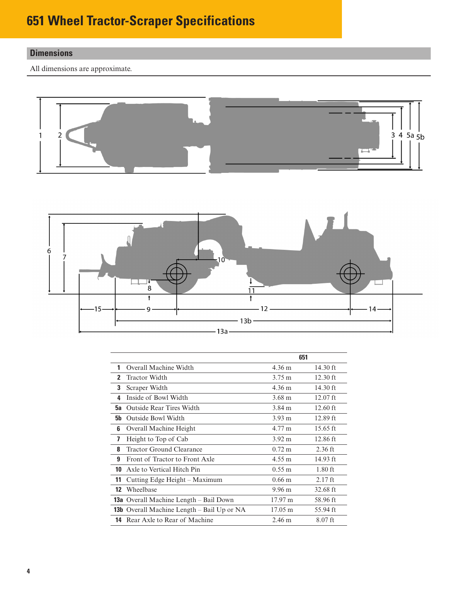# <span id="page-3-0"></span>**Dimensions**

All dimensions are approximate.





|              |                                                   | 651                  |            |
|--------------|---------------------------------------------------|----------------------|------------|
| 1            | Overall Machine Width                             | 4.36 m               | 14.30 $ft$ |
| $\mathbf{2}$ | <b>Tractor Width</b>                              | $3.75 \text{ m}$     | $12.30$ ft |
| 3            | Scraper Width                                     | 4.36 m               | 14.30 $ft$ |
| 4            | Inside of Bowl Width                              | 3.68 m               | $12.07$ ft |
| 5а           | <b>Outside Rear Tires Width</b>                   | 3.84 m               | $12.60$ ft |
| <b>5b</b>    | <b>Outside Bowl Width</b>                         | $3.93 \text{ m}$     | $12.89$ ft |
| 6            | Overall Machine Height                            | 4.77 m               | $15.65$ ft |
| 7            | Height to Top of Cab                              | $3.92 \text{ m}$     | $12.86$ ft |
| 8            | Tractor Ground Clearance                          | $0.72 \text{ m}$     | $2.36$ ft  |
| 9            | Front of Tractor to Front Axle                    | $4.55 \text{ m}$     | 14.93 $ft$ |
| 10           | Axle to Vertical Hitch Pin                        | $0.55 \; \mathrm{m}$ | $1.80$ ft  |
| 11           | Cutting Edge Height – Maximum                     | $0.66 \text{ m}$     | $2.17$ ft  |
| 12           | Wheelbase                                         | $9.96 \text{ m}$     | $32.68$ ft |
|              | <b>13a</b> Overall Machine Length – Bail Down     | 17.97 m              | 58.96 ft   |
|              | <b>13b</b> Overall Machine Length – Bail Up or NA | $17.05 \text{ m}$    | 55.94 ft   |
| 14           | Rear Axle to Rear of Machine                      | $2.46 \text{ m}$     | $8.07$ ft  |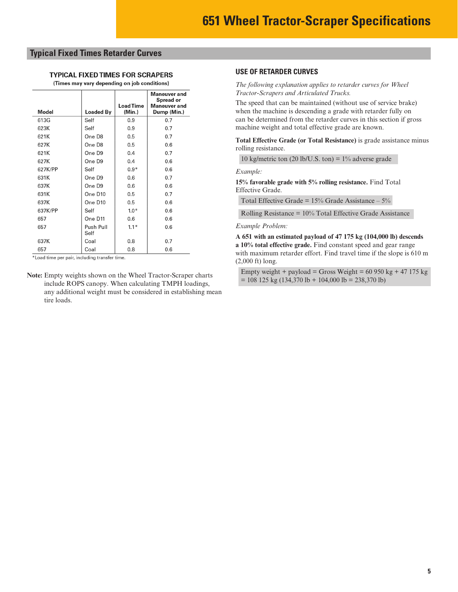#### <span id="page-4-0"></span>**Typical Fixed Times Retarder Curves**

#### **TYPICAL FIXED TIMES FOR SCRAPERS**

(Times may vary depending on job conditions)

| Model   | Loaded By         | <b>Load Time</b><br>(Min.) | Maneuver and<br>Spread or<br><b>Maneuver</b> and<br>Dump (Min.) |
|---------|-------------------|----------------------------|-----------------------------------------------------------------|
| 613G    | Self              | 0.9                        | 0.7                                                             |
| 623K    | Self              | 0.9                        | 0.7                                                             |
| 621K    | One D8            | 0.5                        | 0.7                                                             |
| 627K    | One D8            | 0.5                        | 0.6                                                             |
| 621K    | One D9            | 0.4                        | 0.7                                                             |
| 627K    | One D9            | 0.4                        | 0.6                                                             |
| 627K/PP | Self              | $0.9*$                     | 0.6                                                             |
| 631K    | One D9            | 0.6                        | 0.7                                                             |
| 637K    | One D9            | 0.6                        | 0.6                                                             |
| 631K    | One D10           | 0.5                        | 0.7                                                             |
| 637K    | One D10           | 0.5                        | 0.6                                                             |
| 637K/PP | Self              | $1.0*$                     | 0.6                                                             |
| 657     | One D11           | 0.6                        | 0.6                                                             |
| 657     | Push Pull<br>Self | $1.1*$                     | 0.6                                                             |
| 637K    | Coal              | 0.8                        | 0.7                                                             |
| 657     | Coal              | 0.8                        | 0.6                                                             |

\*Load time per pair, including transfer time.

**Note:** Empty weights shown on the Wheel Tractor-Scraper charts include ROPS canopy. When calculating TMPH loadings, any additional weight must be considered in establishing mean tire loads.

#### **USE OF RETARDER CURVES**

*The following explanation applies to retarder curves for Wheel Tractor-Scrapers and Articulated Trucks.*

The speed that can be maintained (without use of service brake) when the machine is descending a grade with retarder fully on can be determined from the retarder curves in this section if gross machine weight and total effective grade are known.

**Total Effective Grade (or Total Resistance)** is grade assistance minus rolling resistance.

10 kg/metric ton  $(20$  lb/U.S. ton) = 1% adverse grade

*Example:*

**15% favorable grade with 5% rolling resistance.** Find Total Effective Grade.

Total Effective Grade =  $15\%$  Grade Assistance –  $5\%$ 

Rolling Resistance = 10% Total Effective Grade Assistance

*Example Problem:*

**A 651 with an estimated payload of 47 175 kg (104,000 lb) descends a 10% total effective grade.** Find constant speed and gear range with maximum retarder effort. Find travel time if the slope is 610 m (2,000 ft) long.

|                                                                                       | Empty weight + payload = Gross Weight = 60 950 kg + 47 175 kg |
|---------------------------------------------------------------------------------------|---------------------------------------------------------------|
| $= 108 125 \text{ kg} (134,370 \text{ lb} + 104,000 \text{ lb} = 238,370 \text{ lb})$ |                                                               |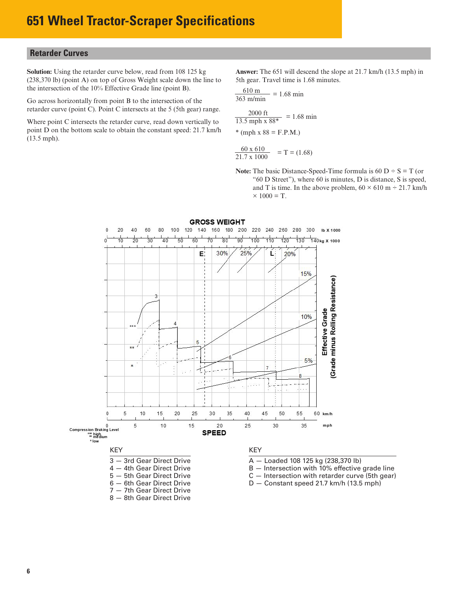#### **Retarder Curves Wheel Tractor-Scrapers** Retarder Curves

**Solution:** Using the retarder curve below, read from 108 125 kg (238,370 lb) (point A) on top of Gross Weight scale down the line to the intersection of the 10% Effective Grade line (point B).

outing C<sub>1</sub> Point C<sub>1</sub> intersects at the 5 (5th gear) range retarder curve (point C). Point C intersects at the 5 (5th gear) range. Go across horizontally from point B to the intersection of the

Where point C intersects the retarder curve, read down vertically to point D on the bottom scale to obtain the constant speed: 21.7 km/h (13.5 mph).

**Answer:** The 651 will descend the slope at 21.7 km/h (13.5 mph) in 5th gear. Travel time is 1.68 minutes.

ANSWER: The 651E will descend the slope at

$$
\frac{610 \text{ m}}{363 \text{ m/min}} = 1.68 \text{ min}
$$

 $\frac{2000 \text{ ft}}{5000 \text{ ft}}$  = 1.68 min  $\frac{2000 \text{ ft}}{13.5 \text{ mph} \times 88^*}$  = 1.68 min \* (mph x  $88 = F.P.M$ .)

$$
\frac{60 \times 610}{21.7 \times 1000} = T = (1.68)
$$

21./ x 1000<br>**Note:** The basic Distance-Speed-Time formula is 60 D ÷ S = T (or "60 D Street"), where 60 is minutes, D is distance, S is speed, s time In the above problem  $60 \times 610$  m  $\div 21$ and T is time. In the above problem,  $60 \times 610$  m ÷ 21.7 km/h  $\times$  1000 – T  $\blacksquare$  $\times$  1000 = T.





B — Intersection with 10% effective grade line

- 
-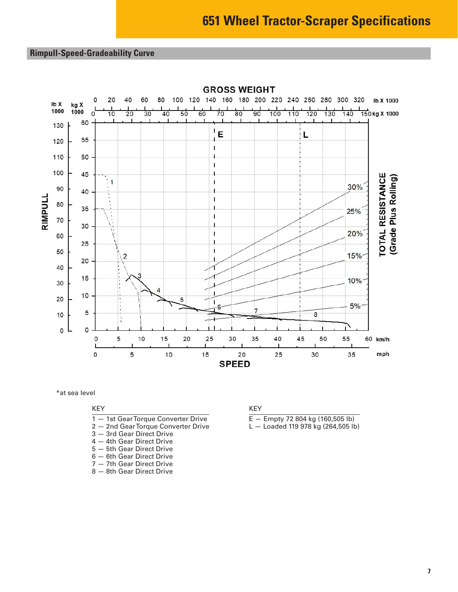**Wheel Tractor-Scrapers**

### <span id="page-6-0"></span>**Rimpull-Speed-Gradeability Curve**



 $\mathcal{G}_\mathcal{A}$  Gradeability  $\mathcal{G}_\mathcal{A}$  Gradeability  $\mathcal{G}_\mathcal{A}$ 

● 37.25/R35 Tires

\*at sea level

#### KEY

- 1 1st Gear Torque Converter Drive
- 2 2nd Gear Torque Converter Drive
- 3 3rd Gear Direct Drive
- 4 4th Gear Direct Drive
- 5 5th Gear Direct Drive
- 6 6th Gear Direct Drive
- 7 7th Gear Direct Drive
- 8 8th Gear Direct Drive

#### KEY

- $E -$  Empty 72 804 kg (160,505 lb)
- L Loaded 119 978 kg (264,505 lb)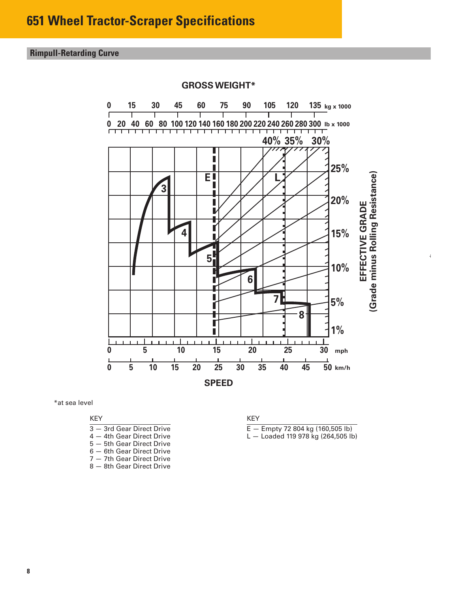**Wheel Tractor-Scrapers** 657G Retarding

# **Rimpull-Retarding Curve**



**GROSS WEIGHT\***

● 37.25/R35 Tires

\*at sea level

KEY

3 — 3rd Gear Direct Drive 4 — 4th Gear Direct Drive 5 — 5th Gear Direct Drive 6 — 6th Gear Direct Drive 7 — 7th Gear Direct Drive 8 — 8th Gear Direct Drive

KEY

 $E -$  Empty 72 804 kg (160,505 lb)

L — Loaded 119 978 kg (264,505 lb)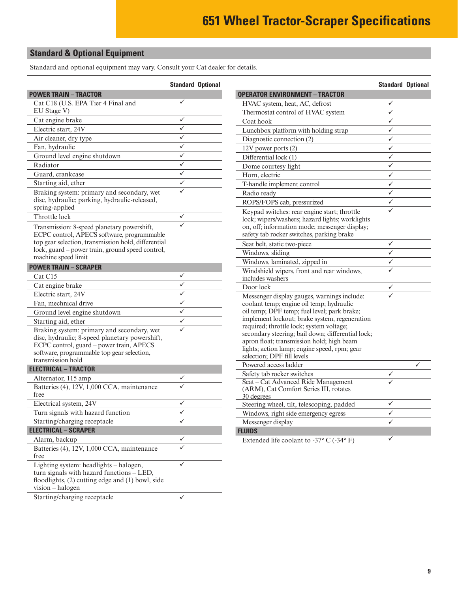### <span id="page-8-0"></span>**Standard & Optional Equipment**

Standard and optional equipment may vary. Consult your Cat dealer for details.

|                                                                                                                                                                                                                             | <b>Standard Optional</b> |  |
|-----------------------------------------------------------------------------------------------------------------------------------------------------------------------------------------------------------------------------|--------------------------|--|
| <b>POWER TRAIN - TRACTOR</b>                                                                                                                                                                                                |                          |  |
| Cat C18 (U.S. EPA Tier 4 Final and<br>EU Stage V)                                                                                                                                                                           |                          |  |
| Cat engine brake                                                                                                                                                                                                            |                          |  |
| Electric start, 24V                                                                                                                                                                                                         |                          |  |
| Air cleaner, dry type                                                                                                                                                                                                       |                          |  |
| Fan, hydraulic                                                                                                                                                                                                              |                          |  |
| Ground level engine shutdown                                                                                                                                                                                                | ✓                        |  |
| Radiator                                                                                                                                                                                                                    | ✓                        |  |
| Guard, crankcase                                                                                                                                                                                                            | ✓                        |  |
| Starting aid, ether                                                                                                                                                                                                         |                          |  |
| Braking system: primary and secondary, wet<br>disc, hydraulic; parking, hydraulic-released,<br>spring-applied                                                                                                               |                          |  |
| Throttle lock                                                                                                                                                                                                               |                          |  |
| Transmission: 8-speed planetary powershift,<br>ECPC control, APECS software, programmable<br>top gear selection, transmission hold, differential<br>lock, guard – power train, ground speed control,<br>machine speed limit |                          |  |
| <b>POWER TRAIN - SCRAPER</b>                                                                                                                                                                                                |                          |  |
| Cat C15                                                                                                                                                                                                                     |                          |  |
| Cat engine brake                                                                                                                                                                                                            |                          |  |
| Electric start, 24V                                                                                                                                                                                                         | ✓                        |  |
| Fan, mechnical drive                                                                                                                                                                                                        | ✓                        |  |
| Ground level engine shutdown                                                                                                                                                                                                | ✓                        |  |
| Starting aid, ether                                                                                                                                                                                                         | ✓                        |  |
| Braking system: primary and secondary, wet<br>disc, hydraulic; 8-speed planetary powershift,<br>ECPC control, guard - power train, APECS<br>software, programmable top gear selection,<br>transmission hold                 |                          |  |
| <b>ELECTRICAL - TRACTOR</b>                                                                                                                                                                                                 |                          |  |
| Alternator, 115 amp                                                                                                                                                                                                         |                          |  |
| Batteries (4), 12V, 1,000 CCA, maintenance<br>free                                                                                                                                                                          |                          |  |
| Electrical system, 24V                                                                                                                                                                                                      |                          |  |
| Turn signals with hazard function                                                                                                                                                                                           |                          |  |
| Starting/charging receptacle                                                                                                                                                                                                |                          |  |
| <b>ELECTRICAL - SCRAPER</b>                                                                                                                                                                                                 |                          |  |
| Alarm, backup                                                                                                                                                                                                               |                          |  |
| Batteries (4), 12V, 1,000 CCA, maintenance<br>free                                                                                                                                                                          |                          |  |
| Lighting system: headlights - halogen,<br>turn signals with hazard functions - LED,<br>floodlights, (2) cutting edge and (1) bowl, side<br>vision - halogen<br>Starting/charging receptacle                                 |                          |  |
|                                                                                                                                                                                                                             |                          |  |

|                                                                                         | <b>Standard Optional</b> |   |
|-----------------------------------------------------------------------------------------|--------------------------|---|
| OPERATOR ENVIRONMENT - TRACTOR                                                          |                          |   |
| HVAC system, heat, AC, defrost                                                          |                          |   |
| Thermostat control of HVAC system                                                       | ✓                        |   |
| Coat hook                                                                               | $\overline{\checkmark}$  |   |
| Lunchbox platform with holding strap                                                    | $\overline{\checkmark}$  |   |
| Diagnostic connection (2)                                                               | $\overline{\checkmark}$  |   |
| 12V power ports (2)                                                                     | $\overline{\checkmark}$  |   |
| Differential lock (1)                                                                   | $\overline{\checkmark}$  |   |
| Dome courtesy light                                                                     | $\overline{\checkmark}$  |   |
| Horn, electric                                                                          | ✓                        |   |
| T-handle implement control                                                              | ✓                        |   |
| Radio ready                                                                             | $\overline{\checkmark}$  |   |
| ROPS/FOPS cab, pressurized                                                              | ✓                        |   |
| Keypad switches: rear engine start; throttle                                            |                          |   |
| lock; wipers/washers; hazard lights; worklights                                         |                          |   |
| on, off; information mode; messenger display;                                           |                          |   |
| safety tab rocker switches, parking brake                                               |                          |   |
| Seat belt, static two-piece                                                             |                          |   |
| Windows, sliding                                                                        | $\overline{\checkmark}$  |   |
| Windows, laminated, zipped in                                                           |                          |   |
| Windshield wipers, front and rear windows,<br>includes washers                          |                          |   |
| Door lock                                                                               |                          |   |
|                                                                                         |                          |   |
| Messenger display gauges, warnings include:<br>coolant temp; engine oil temp; hydraulic |                          |   |
| oil temp; DPF temp; fuel level; park brake;                                             |                          |   |
| implement lockout; brake system, regeneration                                           |                          |   |
| required; throttle lock; system voltage;                                                |                          |   |
| secondary steering; bail down; differential lock;                                       |                          |   |
| apron float; transmission hold; high beam                                               |                          |   |
| lights; action lamp; engine speed, rpm; gear                                            |                          |   |
| selection: DPF fill levels                                                              |                          |   |
| Powered access ladder                                                                   |                          | ✓ |
| Safety tab rocker switches<br>Seat - Cat Advanced Ride Management                       |                          |   |
| (ARM), Cat Comfort Series III, rotates                                                  |                          |   |
| 30 degrees                                                                              |                          |   |
| Steering wheel, tilt, telescoping, padded                                               |                          |   |
| Windows, right side emergency egress                                                    |                          |   |
| Messenger display                                                                       |                          |   |
| <b>FLUIDS</b>                                                                           |                          |   |
| Extended life coolant to -37° C (-34° F)                                                |                          |   |